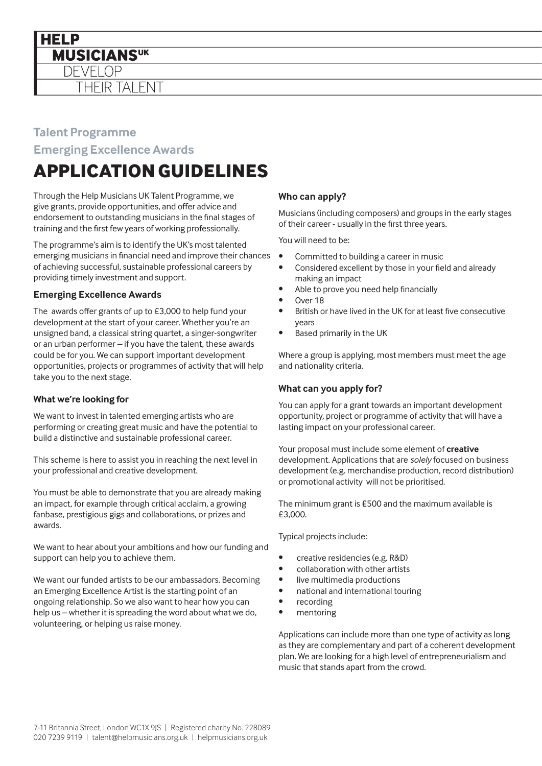

### **Talent Programme**

**Emerging Excellence Awards**

# **APPLICATION GUIDELINES**

Through the Help Musicians UK Talent Programme, we give grants, provide opportunities, and offer advice and endorsement to outstanding musicians in the final stages of training and the first few years of working professionally.

The programme's aim is to identify the UK's most talented emerging musicians in financial need and improve their chances of achieving successful, sustainable professional careers by providing timely investment and support.

### **Emerging Excellence Awards**

The awards offer grants of up to £3,000 to help fund your development at the start of your career. Whether you're an unsigned band, a classical string quartet, a singer-songwriter or an urban performer – if you have the talent, these awards could be for you. We can support important development opportunities, projects or programmes of activity that will help take you to the next stage.

### **What we're looking for**

We want to invest in talented emerging artists who are performing or creating great music and have the potential to build a distinctive and sustainable professional career.

This scheme is here to assist you in reaching the next level in your professional and creative development.

You must be able to demonstrate that you are already making an impact, for example through critical acclaim, a growing fanbase, prestigious gigs and collaborations, or prizes and awards.

We want to hear about your ambitions and how our funding and support can help you to achieve them.

We want our funded artists to be our ambassadors. Becoming an Emerging Excellence Artist is the starting point of an ongoing relationship. So we also want to hear how you can help us – whether it is spreading the word about what we do, volunteering, or helping us raise money.

### **Who can apply?**

Musicians (including composers) and groups in the early stages of their career - usually in the first three years.

You will need to be:

- Committed to building a career in music
- Considered excellent by those in your field and already making an impact
- Able to prove you need help financially
- Over 18
- British or have lived in the UK for at least five consecutive years
- Based primarily in the UK

Where a group is applying, most members must meet the age and nationality criteria.

### **What can you apply for?**

You can apply for a grant towards an important development opportunity, project or programme of activity that will have a lasting impact on your professional career.

Your proposal must include some element of **creative** development. Applications that are *solely* focused on business development (e.g. merchandise production, record distribution) or promotional activity will not be prioritised.

The minimum grant is £500 and the maximum available is £3,000.

Typical projects include:

- creative residencies (e.g. R&D)
- collaboration with other artists
- live multimedia productions
- national and international touring
- **recording**
- mentoring

Applications can include more than one type of activity as long as they are complementary and part of a coherent development plan. We are looking for a high level of entrepreneurialism and music that stands apart from the crowd.